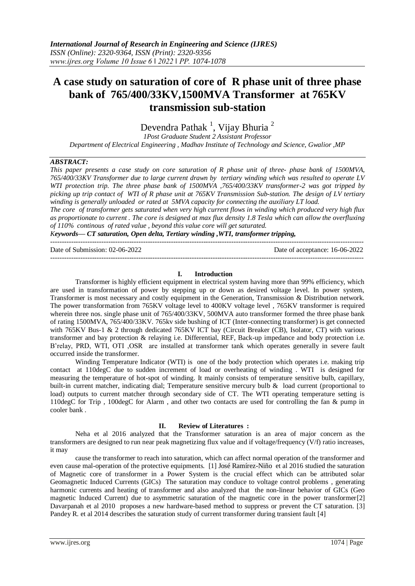# **A case study on saturation of core of R phase unit of three phase bank of 765/400/33KV,1500MVA Transformer at 765KV transmission sub-station**

Devendra Pathak<sup>1</sup>, Vijay Bhuria<sup>2</sup>

*1Post Graduate Student 2 Assistant Professor Department of Electrical Engineering , Madhav Institute of Technology and Science, Gwalior ,MP* 

# *ABSTRACT:*

*This paper presents a case study on core saturation of R phase unit of three- phase bank of 1500MVA, 765/400/33KV Transformer due to large current drawn by tertiary winding which was resulted to operate LV WTI protection trip. The three phase bank of 1500MVA ,765/400/33KV transformer-2 was got tripped by picking up trip contact of WTI of R phase unit at 765KV Transmission Sub-station. The design of LV tertiary winding is generally unloaded or rated at 5MVA capacity for connecting the auxiliary LT load.*

*The core of transformer gets saturated when very high current flows in winding which produced very high flux as proportionate to current . The core is designed at max flux density 1.8 Tesla which can allow the overfluxing of 110% continous of rated value , beyond this value core will get saturated.*

*Keywords— CT saturation, Open delta, Tertiary winding ,WTI, transformer tripping,* 

---------------------------------------------------------------------------------------------------------------------------------------

Date of Submission: 02-06-2022 Date of acceptance: 16-06-2022

--------------------------------------------------------------------------------------------------------------------------------------- **I. Introduction**

Transformer is highly efficient equipment in electrical system having more than 99% efficiency, which are used in transformation of power by stepping up or down as desired voltage level. In power system, Transformer is most necessary and costly equipment in the Generation, Transmission & Distribution network. The power transformation from 765KV voltage level to 400KV voltage level , 765KV transformer is required wherein three nos. single phase unit of 765/400/33KV, 500MVA auto transformer formed the three phase bank of rating 1500MVA, 765/400/33KV. 765kv side bushing of ICT (Inter-connecting transformer) is get connected with 765KV Bus-1 & 2 through dedicated 765KV ICT bay (Circuit Breaker (CB), Isolator, CT) with various transformer and bay protection & relaying i.e. Differential, REF, Back-up impedance and body protection i.e. B'relay, PRD, WTI, OTI ,OSR are installed at transformer tank which operates generally in severe fault occurred inside the transformer.

Winding Temperature Indicator (WTI) is one of the body protection which operates i.e. making trip contact at 110degC due to sudden increment of load or overheating of winding . WTI is designed for measuring the temperature of hot-spot of winding. It mainly consists of temperature sensitive bulb, capillary, built-in current matcher, indicating dial; Temperature sensitive mercury bulb & load current (proportional to load) outputs to current matcher through secondary side of CT. The WTI operating temperature setting is 110degC for Trip , 100degC for Alarm , and other two contacts are used for controlling the fan & pump in cooler bank .

# **II. Review of Literatures :**

Neha et al 2016 analyzed that the Transformer saturation is an area of major concern as the transformers are designed to run near peak magnetizing flux value and if voltage/frequency (V/f) ratio increases, it may

cause the transformer to reach into saturation, which can affect normal operation of the transformer and even cause mal-operation of the protective equipments. [1] José Ramírez-Niño et al 2016 studied the saturation of Magnetic core of transformer in a Power System is the crucial effect which can be attributed solar Geomagnetic Induced Currents (GICs) The saturation may conduce to voltage control problems , generating harmonic currents and heating of transformer and also analyzed that the non-linear behavior of GICs (Geo magnetic Induced Current) due to asymmetric saturation of the magnetic core in the power transformer[2] Davarpanah et al 2010 proposes a new hardware-based method to suppress or prevent the CT saturation. [3] Pandey R. et al 2014 describes the saturation study of current transformer during transient fault [4]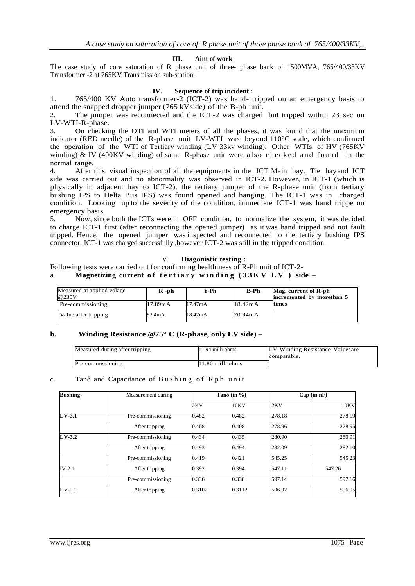### **III. Aim of work**

The case study of core saturation of R phase unit of three- phase bank of 1500MVA, 765/400/33KV Transformer -2 at 765KV Transmission sub-station.

# **IV. Sequence of trip incident :**

1. 765/400 KV Auto transformer-2 (ICT-2) was hand- tripped on an emergency basis to attend the snapped dropper jumper (765 kVside) of the B-ph unit.

2. The jumper was reconnected and the ICT-2 was charged but tripped within 23 sec on LV-WTI-R-phase.

3. On checking the OTI and WTI meters of all the phases, it was found that the maximum indicator (RED needle) of the R-phase unit LV-WTI was beyond 110°C scale, which confirmed the operation of the WTI of Tertiary winding (LV 33kv winding). Other WTIs of HV (765KV winding) & IV (400KV winding) of same R-phase unit were also checked and found in the normal range.

4. After this, visual inspection of all the equipments in the ICT Main bay, Tie bay and ICT side was carried out and no abnormality was observed in ICT-2. However, in ICT-1 (which is physically in adjacent bay to ICT-2), the tertiary jumper of the R-phase unit (from tertiary bushing IPS to Delta Bus IPS) was found opened and hanging. The ICT-1 was in charged condition. Looking up to the severity of the condition, immediate ICT-1 was hand trippe on emergency basis.

5. Now, since both the ICTs were in OFF condition, to normalize the system, it was decided to charge ICT-1 first (after reconnecting the opened jumper) as it was hand tripped and not fault tripped. Hence, the opened jumper was inspected and reconnected to the tertiary bushing IPS connector. ICT-1 was charged successfully ,however ICT-2 was still in the tripped condition.

#### V. **Diagonistic testing :**

# Following tests were carried out for confirming healthiness of R-Ph unit of ICT-2-

# a. **Magnetizing current of tertiary winding** (33KV LV) side –

| Measured at applied volage<br>@235V | $R - ph$ | Y-Ph    | <b>B-Ph</b> | Mag. current of R-ph<br>incremented by morethan 5 |
|-------------------------------------|----------|---------|-------------|---------------------------------------------------|
| Pre-commissioning                   | 17.89mA  | 17.47mA | 18.42mA     | times                                             |
| Value after tripping                | 92.4mA   | 18.42mA | 20.94mA     |                                                   |

# **b. Winding Resistance @75° C (R-phase, only LV side) –**

| Measured during after tripping | $11.94$ milli ohms | LV Winding Resistance Valuesare<br>comparable. |
|--------------------------------|--------------------|------------------------------------------------|
| Pre-commissioning              | $11.80$ milli ohms |                                                |

#### c. Tano and Capacitance of Bushing of Rph unit

| <b>Bushing-</b> | Measurement during |        | Tan $\delta$ (in %) |        | Cap (in nF) |  |
|-----------------|--------------------|--------|---------------------|--------|-------------|--|
|                 |                    | 2KV    | 10KV                | 2KV    | 10KV        |  |
| $LV-3.1$        | Pre-commissioning  | 0.482  | 0.482               | 278.18 | 278.19      |  |
|                 | After tripping     | 0.408  | 0.408               | 278.96 | 278.95      |  |
| $LV-3.2$        | Pre-commissioning  | 0.434  | 0.435               | 280.90 | 280.91      |  |
|                 | After tripping     | 0.493  | 0.494               | 282.09 | 282.10      |  |
|                 | Pre-commissioning  | 0.419  | 0.421               | 545.25 | 545.23      |  |
| $IV-2.1$        | After tripping     | 0.392  | 0.394               | 547.11 | 547.26      |  |
|                 | Pre-commissioning  | 0.336  | 0.338               | 597.14 | 597.16      |  |
| $HV-1.1$        | After tripping     | 0.3102 | 0.3112              | 596.92 | 596.95      |  |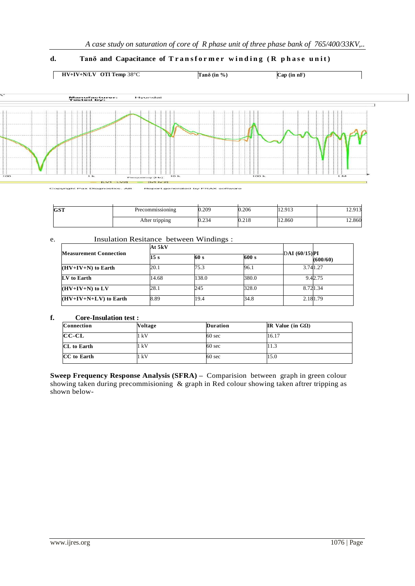# d. **Tanô** and **Capacitance** of **Transformer** winding (R phase unit)



| <b>CCT</b><br>GO 1 | Precommissioning | 0.209 | 0.206 | 12.913 | 12.913 |
|--------------------|------------------|-------|-------|--------|--------|
|                    | After tripping   | 0.234 | 0.218 | 12.860 | 12.860 |

# e. Insulation Resitance between Windings :

|                               | At 5kV |       |       |               |          |
|-------------------------------|--------|-------|-------|---------------|----------|
| <b>Measurement Connection</b> | 15 s   | 60 s  |       | DAI (60/15)PI | (600/60) |
| $(HV+IV+N)$ to Earth          | 20.1   | 75.3  | 96.1  |               | 3.741.27 |
| LV to Earth                   | 14.68  | 138.0 | 380.0 |               | 9.42.75  |
| $(HV+IV+N)$ to LV             | 28.1   | 245   | 328.0 |               | 8.721.34 |
| $(HV+IV+N+LV)$ to Earth       | 8.89   | 19.4  | 34.8  |               | 2.181.79 |

# **f. Core-Insulation test :**

| <b>Connection</b>  | Voltage | <b>Duration</b>  | IR Value (in $G\Omega$ ) |
|--------------------|---------|------------------|--------------------------|
| $CC-CL$            | 1 kV    | $60 \text{ sec}$ | 16.17                    |
| <b>CL</b> to Earth | l kV    | $60 \text{ sec}$ | 11.3                     |
| CC to Earth        | 1 kV    | $60 \text{ sec}$ | 15.0                     |

**Sweep Frequency Response Analysis (SFRA) –** Comparision between graph in green colour showing taken during precommisioning & graph in Red colour showing taken aftrer tripping as shown below-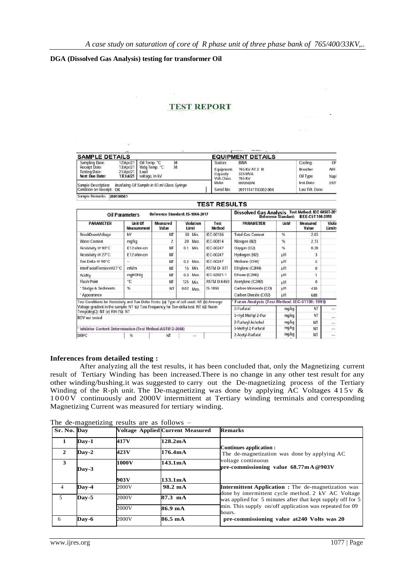$-78$ 

mi se part

# **DGA (Dissolved Gas Analysis) testing for transformer Oil**

# **TEST REPORT**

| <b>SAMPLE DETAILS</b>                                                            | $\rightarrow$                       |                                                                  |          | $-200$ m $-200$                                  | <b>BASE MALES</b><br><b>EQUIPMENT DETAILS</b>     |                                  |                  |
|----------------------------------------------------------------------------------|-------------------------------------|------------------------------------------------------------------|----------|--------------------------------------------------|---------------------------------------------------|----------------------------------|------------------|
| Sampling Date:<br>Receipt Date:<br><b>Testing Date:</b><br><b>Next Due Date:</b> | 13/Apr/21<br>21/Apr/21<br>13/Jul/21 | 12/Apr/21 Oil Temp. "C<br>Wdg Temp, °C<br>Load<br>voltage, in kV | 34<br>34 | Station:<br>Equipment:<br>Capacity<br>Volt.Class | <b>BINA</b><br>765 KV AT 2 R<br>333 MVA<br>765 KV | Cooling:<br>Breather<br>Oil Type | OF<br>AIR<br>Nap |
| Sample Description:<br>Condition on Receipt: OK                                  |                                     | Inuslating Oil Sample in 50 ml Glass Syringe                     |          | Make<br>Serial No:                               | <b>HYUNDAI</b><br>20111141TIG002-004              | Inst.Date:<br>Last Filt Date:    | 01/F             |
| Sample Remarks:                                                                  | 200104561                           |                                                                  |          |                                                  |                                                   |                                  |                  |

|                                                                                                                        |                               |                         |                                  | <b>TEST RESULTS</b> |                                                   |                            |                   |                 |
|------------------------------------------------------------------------------------------------------------------------|-------------------------------|-------------------------|----------------------------------|---------------------|---------------------------------------------------|----------------------------|-------------------|-----------------|
| <b>Oil Parameters</b>                                                                                                  |                               |                         | Reference Standard: IS-1866-2017 |                     | Dissolved Gas Analysis Test Method: IEC 60567-20* | <b>Reference Standard:</b> | IEEE-C57.104-2019 |                 |
| <b>PARAMETER</b>                                                                                                       | Unit Of<br><b>Measurement</b> | Measured<br>Value       | Violation<br>Limit               | Test<br>Method      | <b><i>PARAMETER</i></b>                           | <b>UoM</b>                 | Measured<br>Value | Viola<br>Limits |
| <b>BreakDownVoltage</b>                                                                                                | kV                            | NT                      | 50 Min.                          | IEC-60156           | <b>Total Gas Content</b>                          | %                          | 2.63              |                 |
| <b>Water Content</b>                                                                                                   | mg/kg                         | $\overline{\mathbf{c}}$ | Max.<br>20                       | IEC-60814           | Nitrogen (N2)                                     | %                          | 2.13              |                 |
| Resistivity @ 90°C                                                                                                     | E12 ohm-cm                    | NT                      | 0.1<br>Min.                      | IEC-60247           | Oxygen (O2)                                       | %                          | 0.39              |                 |
| Resistivity @ 27°C                                                                                                     | E12 ohm-cm                    | NT                      |                                  | IEC-60247           | Hydrogen (H2)                                     | ul/l                       | 3                 |                 |
| Tan Delta @ 90°C                                                                                                       | $\cdots$                      | NT                      | $0.2$ Max.                       | IEC-60247           | Methane (CH4)                                     | <b>ul/l</b>                | 5                 |                 |
| InterFacialTension@27°C                                                                                                | mN/m                          | NT                      | Min.<br>15                       | <b>ASTM D-971</b>   | Ethylene (C2H4)                                   | ul/l                       | $\Omega$          |                 |
| <b>Acidity</b>                                                                                                         | mgKOH/g                       | NT                      | 0.3<br>Max.                      | IEC-62021-1         | Ethane (C2H6)                                     | UU1                        |                   |                 |
| <b>Flash Point</b>                                                                                                     | *C                            | NT                      | 125<br>Min.                      | <b>ASTM D-6450</b>  | Acetylene (C2H2)                                  | ul/l                       | $\Omega$          |                 |
| * Sludge & Sediments                                                                                                   | %                             | NT                      | 0.02<br>Max.                     | IS-1866             | Carbon Monoxide (CO)                              | uИ                         | 430               |                 |
| * Appearance                                                                                                           |                               |                         |                                  |                     | Carbon Dioxide (CO2)                              | ul/l                       | 688               |                 |
| Test Conditions for Resistivity and Tan Delta Tests: (a) Type of cell used: NT (b) Average                             |                               |                         |                                  |                     | Furan Analysis (Test Method: IEC-61198: 1993)     |                            |                   |                 |
| Voltage gradient in the sample: NT (c) Test Frequency for Tan-delta test: NT (d) Room<br>Temp(deqC): NT (e) RH (%): NT |                               |                         |                                  |                     | 2-Furfural                                        | mq/kg                      | NT                | $rac{1}{2}$     |
| <b>BDV</b> not tested                                                                                                  |                               |                         |                                  |                     | 5-Hyd Methyl 2-Fur                                | mg/kg                      | NT                | $\cdots$        |
|                                                                                                                        |                               |                         |                                  |                     | 2-Furfuryl Achohol                                | mg/kg                      | <b>NT</b>         | $\cdots$        |
| Inhibitor Content Determination (Test Method:ASTM D-2668)                                                              |                               |                         |                                  |                     | 5-Methyl 2-Furfural                               | mg/kg                      | NT                | nes.            |
| DBPC                                                                                                                   | %                             | NT                      | 1.14                             |                     | 2-Acetyl-Furfural                                 | mg/kg                      | NT                | $\cdots$        |

#### **Inferences from detailed testing :**

After analyzing all the test results, it has been concluded that, only the Magnetizing current result of Tertiary Winding has been increased.There is no change in any other test result for any other winding/bushing.it was suggested to carry out the De-magnetizing process of the Tertiary Winding of the R-ph unit. The De-magnetizing was done by applying AC Voltages  $415v$  & 1 0 0 0 V continuously and 2000V intermittent at Tertiary winding terminals and corresponding Magnetizing Current was measured for tertiary winding.

| Sr. No. Day    |                             |       | <b>Voltage Applied Current Measured</b> | <b>Remarks</b>                                                                                                   |  |  |
|----------------|-----------------------------|-------|-----------------------------------------|------------------------------------------------------------------------------------------------------------------|--|--|
|                | $\bf\bf\bm{\mathrm{Dav-1}}$ | 417V  | 128.2 <sub>m</sub> A                    | Continues application :                                                                                          |  |  |
| $\mathbf{2}$   | $\bf Dav-2$                 | 423V  | 176.4mA                                 | The de-magnetization was done by applying AC                                                                     |  |  |
| 3              | $\mathbf{Dav}\text{-}3$     | 1000V | 143.1mA                                 | voltage continuous<br>pre-commissioning value $68.77 \text{mA} @ 903 \text{V}$                                   |  |  |
|                |                             | 903 V | 133.1mA                                 |                                                                                                                  |  |  |
| $\overline{4}$ | Day-4                       | 2000V | 98.2 mA                                 | <b>Intermittent Application :</b> The de-magnetization was<br>done by intermittent cycle method. 2 kV AC Voltage |  |  |
| $\overline{5}$ | $\mathbf{Dav} - 5$          | 2000V | $87.3$ mA                               | was applied for 5 minutes after that kept supply off for 5                                                       |  |  |
|                |                             | 2000V | 86.9 mA                                 | min. This supply on/off application was repeated for 09<br>hours.                                                |  |  |
| 6              | Day-6                       | 2000V | 86.5 mA                                 | pre-commissioning value at 240 Volts was 20                                                                      |  |  |

The de-magnetizing results are as follows –